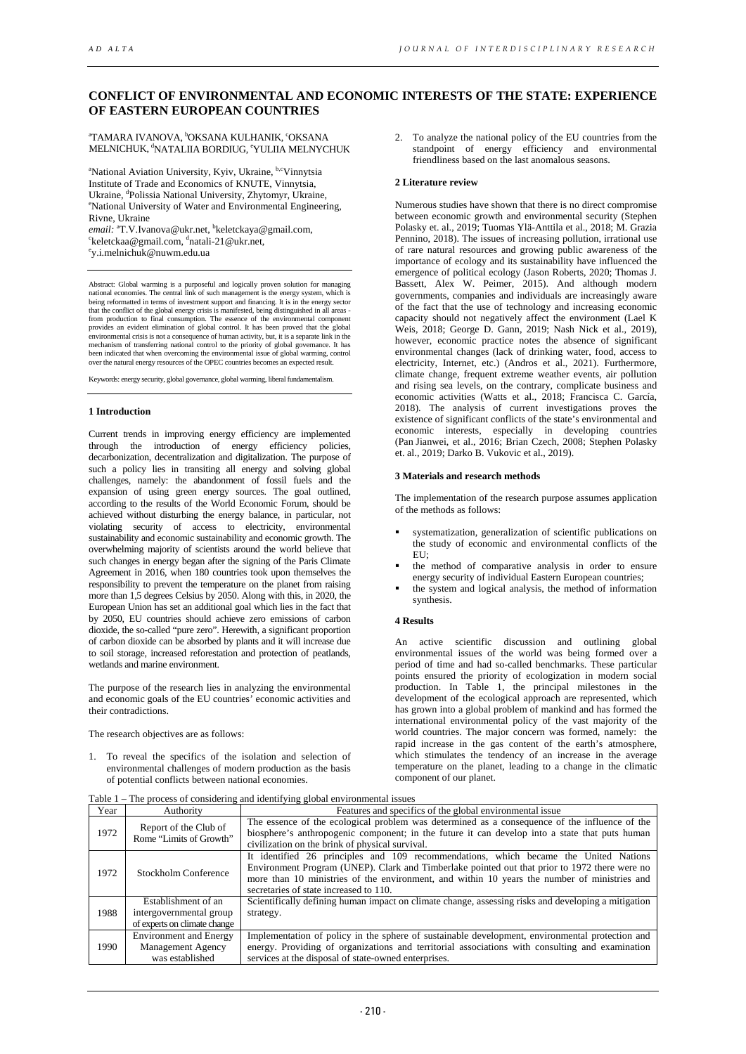# **CONFLICT OF ENVIRONMENTAL AND ECONOMIC INTERESTS OF THE STATE: EXPERIENCE OF EASTERN EUROPEAN COUNTRIES**

<sup>a</sup>TAMARA IVANOVA, <sup>b</sup>OKSANA KULHANIK, ʿOKSANA MELNICHUK, <sup>a</sup>NATALIIA BORDIUG, <sup>e</sup>YULIIA MELNYCHUK

<sup>a</sup>National Aviation University, Kyiv, Ukraine, <sup>b,c</sup>Vinnytsia Institute of Trade and Economics of KNUTE, Vinnytsia, Ukraine, <sup>d</sup>Polissia National University, Zhytomyr, Ukraine, <sup>e</sup>National University of Water and Environmental Engineering, Rivne, Ukraine

*email:* <sup>a</sup>T.V.Ivanova@ukr.net, <sup>b</sup>keletckaya@gmail.com,<br><sup>Skeletckaa@gmail.com, <sup>d</sup>natali.21@ukr.net</sup>  $k$ eletckaa@gmail.com, dnatali-21@ukr.net, y.i.melnichuk@nuwm.edu.ua

Abstract: Global warming is a purposeful and logically proven solution for ma national economies. The central link of such management is the energy system, which is<br>being reformatted in terms of investment support and financing. It is in the energy sector<br>that the conflict of the global energy crisi from production to final consumption. The essence of the environmental component provides an evident elimination of global control. It has been proved that the global environmental crisis is not a consequence of human activity, but, it is a separate link in the mechanism of transferring national control to the priority of global governance. It has been indicated that when overcoming the environmental issue of global warming, control over the natural energy resources of the OPEC countries becomes an expected result.

Keywords: energy security, global governance, global warming, liberal fundamentalism.

## **1 Introduction**

Current trends in improving energy efficiency are implemented through the introduction of energy efficiency policies, decarbonization, decentralization and digitalization. The purpose of such a policy lies in transiting all energy and solving global challenges, namely: the abandonment of fossil fuels and the expansion of using green energy sources. The goal outlined, according to the results of the World Economic Forum, should be achieved without disturbing the energy balance, in particular, not violating security of access to electricity, environmental sustainability and economic sustainability and economic growth. The overwhelming majority of scientists around the world believe that such changes in energy began after the signing of the Paris Climate Agreement in 2016, when 180 countries took upon themselves the responsibility to prevent the temperature on the planet from raising more than 1,5 degrees Celsius by 2050. Along with this, in 2020, the European Union has set an additional goal which lies in the fact that by 2050, EU countries should achieve zero emissions of carbon dioxide, the so-called "pure zero". Herewith, a significant proportion of carbon dioxide can be absorbed by plants and it will increase due to soil storage, increased reforestation and protection of peatlands, wetlands and marine environment.

The purpose of the research lies in analyzing the environmental and economic goals of the EU countries' economic activities and their contradictions.

The research objectives are as follows:

1. To reveal the specifics of the isolation and selection of environmental challenges of modern production as the basis of potential conflicts between national economies.

2. To analyze the national policy of the EU countries from the standpoint of energy efficiency and environmental friendliness based on the last anomalous seasons.

## **2 Literature review**

Numerous studies have shown that there is no direct compromise between economic growth and environmental security (Stephen Polasky et. al., 2019; Tuomas Ylä-Anttila et al., 2018; M. Grazia Pennino, 2018). The issues of increasing pollution, irrational use of rare natural resources and growing public awareness of the importance of ecology and its sustainability have influenced the emergence of political ecology (Jason Roberts, 2020; Thomas J. Bassett, Alex W. Peimer, 2015). And although modern governments, companies and individuals are increasingly aware of the fact that the use of technology and increasing economic capacity should not negatively affect the environment (Lael K Weis, 2018; George D. Gann, 2019; Nash Nick et al., 2019), however, economic practice notes the absence of significant environmental changes (lack of drinking water, food, access to electricity, Internet, etc.) (Andros et al., 2021). Furthermore, climate change, frequent extreme weather events, air pollution and rising sea levels, on the contrary, complicate business and economic activities (Watts et al., 2018; Francisca C. García, 2018). The analysis of current investigations proves the existence of significant conflicts of the state's environmental and economic interests, especially in developing countries (Pan Jianwei, et al., 2016; Brian Czech, 2008; Stephen Polasky et. al., 2019; Darko B. Vukovic et al., 2019).

## **3 Materials and research methods**

The implementation of the research purpose assumes application of the methods as follows:

- systematization, generalization of scientific publications on the study of economic and environmental conflicts of the EU;
- the method of comparative analysis in order to ensure energy security of individual Eastern European countries;
- the system and logical analysis, the method of information synthesis.

## **4 Results**

An active scientific discussion and outlining global environmental issues of the world was being formed over a period of time and had so-called benchmarks. These particular points ensured the priority of ecologization in modern social production. In Table 1, the principal milestones in the development of the ecological approach are represented, which has grown into a global problem of mankind and has formed the international environmental policy of the vast majority of the world countries. The major concern was formed, namely: the rapid increase in the gas content of the earth's atmosphere, which stimulates the tendency of an increase in the average temperature on the planet, leading to a change in the climatic component of our planet.

| Year | Authority                                                                      | Features and specifics of the global environmental issue                                                                                                                                                                                                                                                                        |
|------|--------------------------------------------------------------------------------|---------------------------------------------------------------------------------------------------------------------------------------------------------------------------------------------------------------------------------------------------------------------------------------------------------------------------------|
| 1972 | Report of the Club of<br>Rome "Limits of Growth"                               | The essence of the ecological problem was determined as a consequence of the influence of the<br>biosphere's anthropogenic component; in the future it can develop into a state that puts human<br>civilization on the brink of physical survival.                                                                              |
| 1972 | Stockholm Conference                                                           | It identified 26 principles and 109 recommendations, which became the United Nations<br>Environment Program (UNEP). Clark and Timberlake pointed out that prior to 1972 there were no<br>more than 10 ministries of the environment, and within 10 years the number of ministries and<br>secretaries of state increased to 110. |
| 1988 | Establishment of an<br>intergovernmental group<br>of experts on climate change | Scientifically defining human impact on climate change, assessing risks and developing a mitigation<br>strategy.                                                                                                                                                                                                                |
| 1990 | <b>Environment</b> and Energy<br><b>Management Agency</b><br>was established   | Implementation of policy in the sphere of sustainable development, environmental protection and<br>energy. Providing of organizations and territorial associations with consulting and examination<br>services at the disposal of state-owned enterprises.                                                                      |

Table 1 – The process of considering and identifying global environmental issues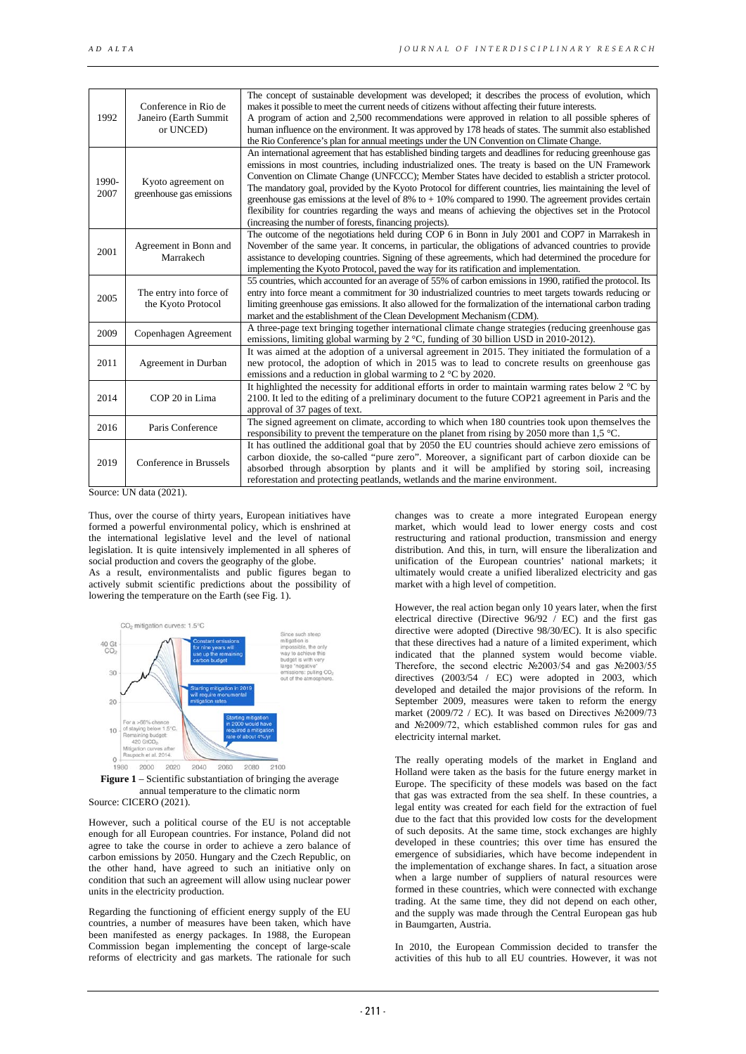| 1992          | Conference in Rio de<br>Janeiro (Earth Summit<br>or UNCED) | The concept of sustainable development was developed; it describes the process of evolution, which<br>makes it possible to meet the current needs of citizens without affecting their future interests.<br>A program of action and 2,500 recommendations were approved in relation to all possible spheres of<br>human influence on the environment. It was approved by 178 heads of states. The summit also established<br>the Rio Conference's plan for annual meetings under the UN Convention on Climate Change.                                                                                                                                                                                                 |
|---------------|------------------------------------------------------------|----------------------------------------------------------------------------------------------------------------------------------------------------------------------------------------------------------------------------------------------------------------------------------------------------------------------------------------------------------------------------------------------------------------------------------------------------------------------------------------------------------------------------------------------------------------------------------------------------------------------------------------------------------------------------------------------------------------------|
| 1990-<br>2007 | Kyoto agreement on<br>greenhouse gas emissions             | An international agreement that has established binding targets and deadlines for reducing greenhouse gas<br>emissions in most countries, including industrialized ones. The treaty is based on the UN Framework<br>Convention on Climate Change (UNFCCC); Member States have decided to establish a stricter protocol.<br>The mandatory goal, provided by the Kyoto Protocol for different countries, lies maintaining the level of<br>greenhouse gas emissions at the level of 8% to $+$ 10% compared to 1990. The agreement provides certain<br>flexibility for countries regarding the ways and means of achieving the objectives set in the Protocol<br>(increasing the number of forests, financing projects). |
| 2001          | Agreement in Bonn and<br>Marrakech                         | The outcome of the negotiations held during COP 6 in Bonn in July 2001 and COP7 in Marrakesh in<br>November of the same year. It concerns, in particular, the obligations of advanced countries to provide<br>assistance to developing countries. Signing of these agreements, which had determined the procedure for<br>implementing the Kyoto Protocol, paved the way for its ratification and implementation.                                                                                                                                                                                                                                                                                                     |
| 2005          | The entry into force of<br>the Kyoto Protocol              | 55 countries, which accounted for an average of 55% of carbon emissions in 1990, ratified the protocol. Its<br>entry into force meant a commitment for 30 industrialized countries to meet targets towards reducing or<br>limiting greenhouse gas emissions. It also allowed for the formalization of the international carbon trading<br>market and the establishment of the Clean Development Mechanism (CDM).                                                                                                                                                                                                                                                                                                     |
| 2009          | Copenhagen Agreement                                       | A three-page text bringing together international climate change strategies (reducing greenhouse gas<br>emissions, limiting global warming by $2 \degree C$ , funding of 30 billion USD in 2010-2012).                                                                                                                                                                                                                                                                                                                                                                                                                                                                                                               |
| 2011          | Agreement in Durban                                        | It was aimed at the adoption of a universal agreement in 2015. They initiated the formulation of a<br>new protocol, the adoption of which in 2015 was to lead to concrete results on greenhouse gas<br>emissions and a reduction in global warming to $2^{\circ}$ C by 2020.                                                                                                                                                                                                                                                                                                                                                                                                                                         |
| 2014          | COP 20 in Lima                                             | It highlighted the necessity for additional efforts in order to maintain warming rates below 2 $\degree$ C by<br>2100. It led to the editing of a preliminary document to the future COP21 agreement in Paris and the<br>approval of 37 pages of text.                                                                                                                                                                                                                                                                                                                                                                                                                                                               |
| 2016          | Paris Conference                                           | The signed agreement on climate, according to which when 180 countries took upon themselves the<br>responsibility to prevent the temperature on the planet from rising by 2050 more than 1,5 $^{\circ}$ C.                                                                                                                                                                                                                                                                                                                                                                                                                                                                                                           |
| 2019          | Conference in Brussels                                     | It has outlined the additional goal that by 2050 the EU countries should achieve zero emissions of<br>carbon dioxide, the so-called "pure zero". Moreover, a significant part of carbon dioxide can be<br>absorbed through absorption by plants and it will be amplified by storing soil, increasing<br>reforestation and protecting peatlands, wetlands and the marine environment.                                                                                                                                                                                                                                                                                                                                 |

Source: UN data (2021).

Thus, over the course of thirty years, European initiatives have formed a powerful environmental policy, which is enshrined at the international legislative level and the level of national legislation. It is quite intensively implemented in all spheres of social production and covers the geography of the globe. As a result, environmentalists and public figures began to actively submit scientific predictions about the possibility of lowering the temperature on the Earth (see Fig. 1).





However, such a political course of the EU is not acceptable enough for all European countries. For instance, Poland did not agree to take the course in order to achieve a zero balance of carbon emissions by 2050. Hungary and the Czech Republic, on the other hand, have agreed to such an initiative only on condition that such an agreement will allow using nuclear power units in the electricity production.

Regarding the functioning of efficient energy supply of the EU countries, a number of measures have been taken, which have been manifested as energy packages. In 1988, the European Commission began implementing the concept of large-scale reforms of electricity and gas markets. The rationale for such

changes was to create a more integrated European energy market, which would lead to lower energy costs and cost restructuring and rational production, transmission and energy distribution. And this, in turn, will ensure the liberalization and unification of the European countries' national markets; it ultimately would create a unified liberalized electricity and gas market with a high level of competition.

However, the real action began only 10 years later, when the first electrical directive (Directive 96/92 / EC) and the first gas directive were adopted (Directive 98/30/EC). It is also specific that these directives had a nature of a limited experiment, which indicated that the planned system would become viable. Therefore, the second electric №2003/54 and gas №2003/55 directives (2003/54 / EC) were adopted in 2003, which developed and detailed the major provisions of the reform. In September 2009, measures were taken to reform the energy market (2009/72 / EC). It was based on Directives №2009/73 and №2009/72, which established common rules for gas and electricity internal market.

The really operating models of the market in England and Holland were taken as the basis for the future energy market in Europe. The specificity of these models was based on the fact that gas was extracted from the sea shelf. In these countries, a legal entity was created for each field for the extraction of fuel due to the fact that this provided low costs for the development of such deposits. At the same time, stock exchanges are highly developed in these countries; this over time has ensured the emergence of subsidiaries, which have become independent in the implementation of exchange shares. In fact, a situation arose when a large number of suppliers of natural resources were formed in these countries, which were connected with exchange trading. At the same time, they did not depend on each other, and the supply was made through the Central European gas hub in Baumgarten, Austria.

In 2010, the European Commission decided to transfer the activities of this hub to all EU countries. However, it was not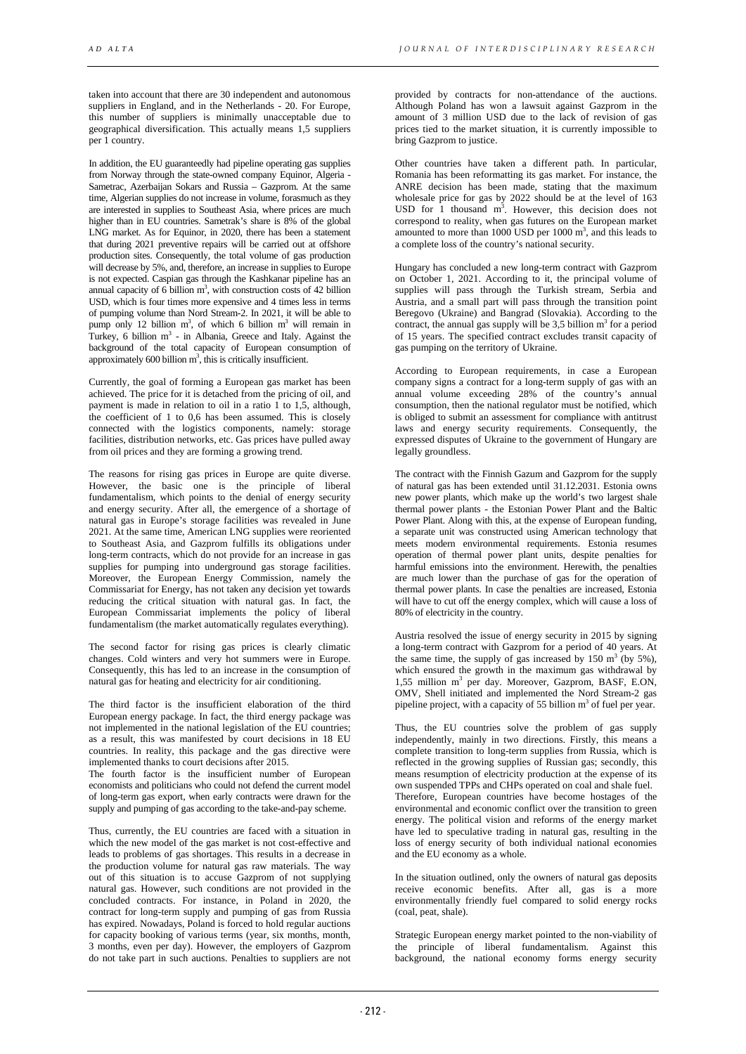taken into account that there are 30 independent and autonomous suppliers in England, and in the Netherlands - 20. For Europe, this number of suppliers is minimally unacceptable due to geographical diversification. This actually means 1,5 suppliers per 1 country.

In addition, the EU guaranteedly had pipeline operating gas supplies from Norway through the state-owned company Equinor, Algeria - Sametrac, Azerbaijan Sokars and Russia – Gazprom. At the same time, Algerian supplies do not increase in volume, forasmuch as they are interested in supplies to Southeast Asia, where prices are much higher than in EU countries. Sametrak's share is 8% of the global LNG market. As for Equinor, in 2020, there has been a statement that during 2021 preventive repairs will be carried out at offshore production sites. Consequently, the total volume of gas production will decrease by 5%, and, therefore, an increase in supplies to Europe is not expected. Caspian gas through the Kashkanar pipeline has an annual capacity of 6 billion  $m<sup>3</sup>$ , with construction costs of 42 billion USD, which is four times more expensive and 4 times less in terms of pumping volume than Nord Stream-2. In 2021, it will be able to pump only 12 billion  $m^3$ , of which 6 billion  $m^3$  will remain in Turkey, 6 billion  $m<sup>3</sup>$  - in Albania, Greece and Italy. Against the background of the total capacity of European consumption of approximately  $600$  billion  $m<sup>3</sup>$ , this is critically insufficient.

Currently, the goal of forming a European gas market has been achieved. The price for it is detached from the pricing of oil, and payment is made in relation to oil in a ratio 1 to 1,5, although, the coefficient of 1 to 0,6 has been assumed. This is closely connected with the logistics components, namely: storage facilities, distribution networks, etc. Gas prices have pulled away from oil prices and they are forming a growing trend.

The reasons for rising gas prices in Europe are quite diverse. However, the basic one is the principle of liberal fundamentalism, which points to the denial of energy security and energy security. After all, the emergence of a shortage of natural gas in Europe's storage facilities was revealed in June 2021. At the same time, American LNG supplies were reoriented to Southeast Asia, and Gazprom fulfills its obligations under long-term contracts, which do not provide for an increase in gas supplies for pumping into underground gas storage facilities. Moreover, the European Energy Commission, namely the Commissariat for Energy, has not taken any decision yet towards reducing the critical situation with natural gas. In fact, the European Commissariat implements the policy of liberal fundamentalism (the market automatically regulates everything).

The second factor for rising gas prices is clearly climatic changes. Cold winters and very hot summers were in Europe. Consequently, this has led to an increase in the consumption of natural gas for heating and electricity for air conditioning.

The third factor is the insufficient elaboration of the third European energy package. In fact, the third energy package was not implemented in the national legislation of the EU countries; as a result, this was manifested by court decisions in 18 EU countries. In reality, this package and the gas directive were implemented thanks to court decisions after 2015.

The fourth factor is the insufficient number of European economists and politicians who could not defend the current model of long-term gas export, when early contracts were drawn for the supply and pumping of gas according to the take-and-pay scheme.

Thus, currently, the EU countries are faced with a situation in which the new model of the gas market is not cost-effective and leads to problems of gas shortages. This results in a decrease in the production volume for natural gas raw materials. The way out of this situation is to accuse Gazprom of not supplying natural gas. However, such conditions are not provided in the concluded contracts. For instance, in Poland in 2020, the contract for long-term supply and pumping of gas from Russia has expired. Nowadays, Poland is forced to hold regular auctions for capacity booking of various terms (year, six months, month, 3 months, even per day). However, the employers of Gazprom do not take part in such auctions. Penalties to suppliers are not

provided by contracts for non-attendance of the auctions. Although Poland has won a lawsuit against Gazprom in the amount of 3 million USD due to the lack of revision of gas prices tied to the market situation, it is currently impossible to bring Gazprom to justice.

Other countries have taken a different path. In particular, Romania has been reformatting its gas market. For instance, the ANRE decision has been made, stating that the maximum wholesale price for gas by 2022 should be at the level of 163 USD for 1 thousand  $m^3$ . However, this decision does not correspond to reality, when gas futures on the European market amounted to more than  $1000$  USD per  $1000$  m<sup>3</sup>, and this leads to a complete loss of the country's national security.

Hungary has concluded a new long-term contract with Gazprom on October 1, 2021. According to it, the principal volume of supplies will pass through the Turkish stream, Serbia and Austria, and a small part will pass through the transition point Beregovo (Ukraine) and Bangrad (Slovakia). According to the contract, the annual gas supply will be  $3,5$  billion m<sup>3</sup> for a period of 15 years. The specified contract excludes transit capacity of gas pumping on the territory of Ukraine.

According to European requirements, in case a European company signs a contract for a long-term supply of gas with an annual volume exceeding 28% of the country's annual consumption, then the national regulator must be notified, which is obliged to submit an assessment for compliance with antitrust laws and energy security requirements. Consequently, the expressed disputes of Ukraine to the government of Hungary are legally groundless.

The contract with the Finnish Gazum and Gazprom for the supply of natural gas has been extended until 31.12.2031. Estonia owns new power plants, which make up the world's two largest shale thermal power plants - the Estonian Power Plant and the Baltic Power Plant. Along with this, at the expense of European funding, a separate unit was constructed using American technology that meets modern environmental requirements. Estonia resumes operation of thermal power plant units, despite penalties for harmful emissions into the environment. Herewith, the penalties are much lower than the purchase of gas for the operation of thermal power plants. In case the penalties are increased, Estonia will have to cut off the energy complex, which will cause a loss of 80% of electricity in the country.

Austria resolved the issue of energy security in 2015 by signing a long-term contract with Gazprom for a period of 40 years. At the same time, the supply of gas increased by 150 m<sup>3</sup> (by 5%), which ensured the growth in the maximum gas withdrawal by 1,55 million m3 per day. Moreover, Gazprom, BASF, E.ON, OMV, Shell initiated and implemented the Nord Stream-2 gas pipeline project, with a capacity of 55 billion  $m<sup>3</sup>$  of fuel per year.

Thus, the EU countries solve the problem of gas supply independently, mainly in two directions. Firstly, this means a complete transition to long-term supplies from Russia, which is reflected in the growing supplies of Russian gas; secondly, this means resumption of electricity production at the expense of its own suspended TPPs and CHPs operated on coal and shale fuel. Therefore, European countries have become hostages of the environmental and economic conflict over the transition to green energy. The political vision and reforms of the energy market have led to speculative trading in natural gas, resulting in the loss of energy security of both individual national economies and the EU economy as a whole.

In the situation outlined, only the owners of natural gas deposits receive economic benefits. After all, gas is a more environmentally friendly fuel compared to solid energy rocks (coal, peat, shale).

Strategic European energy market pointed to the non-viability of the principle of liberal fundamentalism. Against this background, the national economy forms energy security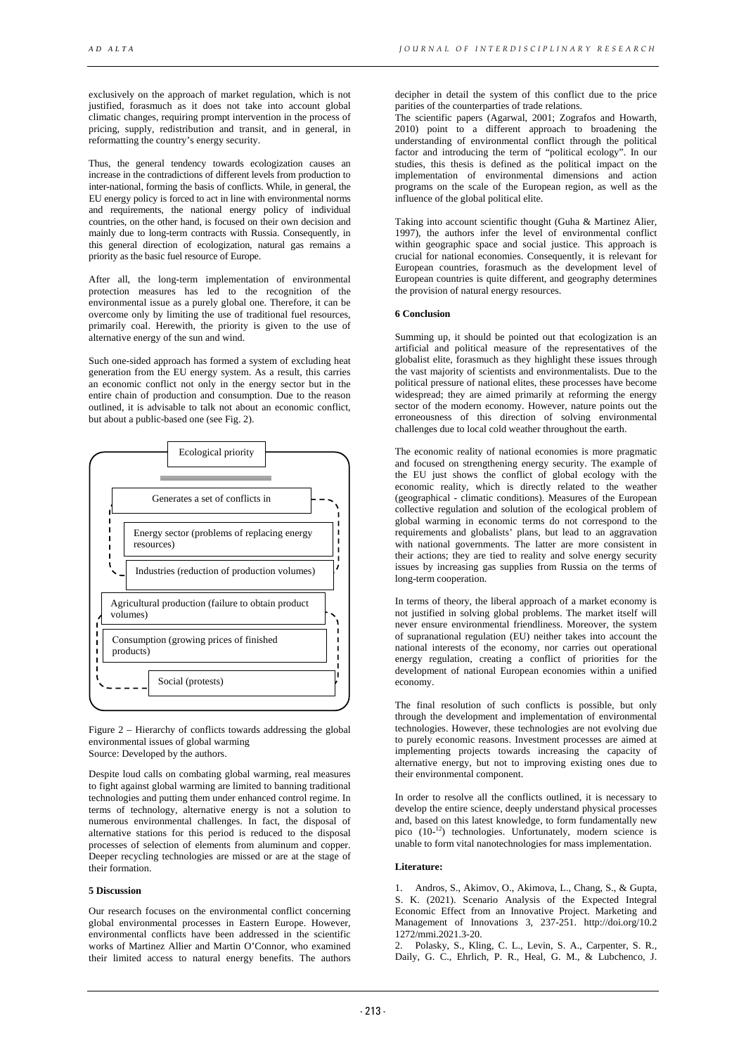exclusively on the approach of market regulation, which is not justified, forasmuch as it does not take into account global climatic changes, requiring prompt intervention in the process of pricing, supply, redistribution and transit, and in general, in reformatting the country's energy security.

Thus, the general tendency towards ecologization causes an increase in the contradictions of different levels from production to inter-national, forming the basis of conflicts. While, in general, the EU energy policy is forced to act in line with environmental norms and requirements, the national energy policy of individual countries, on the other hand, is focused on their own decision and mainly due to long-term contracts with Russia. Consequently, in this general direction of ecologization, natural gas remains a priority as the basic fuel resource of Europe.

After all, the long-term implementation of environmental protection measures has led to the recognition of the environmental issue as a purely global one. Therefore, it can be overcome only by limiting the use of traditional fuel resources, primarily coal. Herewith, the priority is given to the use of alternative energy of the sun and wind.

Such one-sided approach has formed a system of excluding heat generation from the EU energy system. As a result, this carries an economic conflict not only in the energy sector but in the entire chain of production and consumption. Due to the reason outlined, it is advisable to talk not about an economic conflict, but about a public-based one (see Fig. 2).



Figure 2 – Hierarchy of conflicts towards addressing the global environmental issues of global warming Source: Developed by the authors.

Despite loud calls on combating global warming, real measures to fight against global warming are limited to banning traditional technologies and putting them under enhanced control regime. In terms of technology, alternative energy is not a solution to numerous environmental challenges. In fact, the disposal of alternative stations for this period is reduced to the disposal processes of selection of elements from aluminum and copper. Deeper recycling technologies are missed or are at the stage of their formation.

## **5 Discussion**

Our research focuses on the environmental conflict concerning global environmental processes in Eastern Europe. However, environmental conflicts have been addressed in the scientific works of Martinez Allier and Martin O'Connor, who examined their limited access to natural energy benefits. The authors

decipher in detail the system of this conflict due to the price parities of the counterparties of trade relations.

The scientific papers (Agarwal, 2001; Zografos and Howarth, 2010) point to a different approach to broadening the understanding of environmental conflict through the political factor and introducing the term of "political ecology". In our studies, this thesis is defined as the political impact on the implementation of environmental dimensions and action programs on the scale of the European region, as well as the influence of the global political elite.

Taking into account scientific thought (Guha & Martinez Alier, 1997), the authors infer the level of environmental conflict within geographic space and social justice. This approach is crucial for national economies. Consequently, it is relevant for European countries, forasmuch as the development level of European countries is quite different, and geography determines the provision of natural energy resources.

## **6 Conclusion**

Summing up, it should be pointed out that ecologization is an artificial and political measure of the representatives of the globalist elite, forasmuch as they highlight these issues through the vast majority of scientists and environmentalists. Due to the political pressure of national elites, these processes have become widespread; they are aimed primarily at reforming the energy sector of the modern economy. However, nature points out the erroneousness of this direction of solving environmental challenges due to local cold weather throughout the earth.

The economic reality of national economies is more pragmatic and focused on strengthening energy security. The example of the EU just shows the conflict of global ecology with the economic reality, which is directly related to the weather (geographical - climatic conditions). Measures of the European collective regulation and solution of the ecological problem of global warming in economic terms do not correspond to the requirements and globalists' plans, but lead to an aggravation with national governments. The latter are more consistent in their actions; they are tied to reality and solve energy security issues by increasing gas supplies from Russia on the terms of long-term cooperation.

In terms of theory, the liberal approach of a market economy is not justified in solving global problems. The market itself will never ensure environmental friendliness. Moreover, the system of supranational regulation (EU) neither takes into account the national interests of the economy, nor carries out operational energy regulation, creating a conflict of priorities for the development of national European economies within a unified economy.

The final resolution of such conflicts is possible, but only through the development and implementation of environmental technologies. However, these technologies are not evolving due to purely economic reasons. Investment processes are aimed at implementing projects towards increasing the capacity of alternative energy, but not to improving existing ones due to their environmental component.

In order to resolve all the conflicts outlined, it is necessary to develop the entire science, deeply understand physical processes and, based on this latest knowledge, to form fundamentally new pico (10-<sup>12</sup>) technologies. Unfortunately, modern science is unable to form vital nanotechnologies for mass implementation.

## **Literature:**

1. Andros, S., Akimov, O., Akimova, L., Chang, S., & Gupta, S. K. (2021). Scenario Analysis of the Expected Integral Economic Effect from an Innovative Project. Marketing and Management of Innovations 3, 237-251. http://doi.org/10.2 1272/mmi.2021.3-20.

2. Polasky, S., Kling, C. L., Levin, S. A., Carpenter, S. R., Daily, G. C., Ehrlich, P. R., Heal, G. M., & Lubchenco, J.